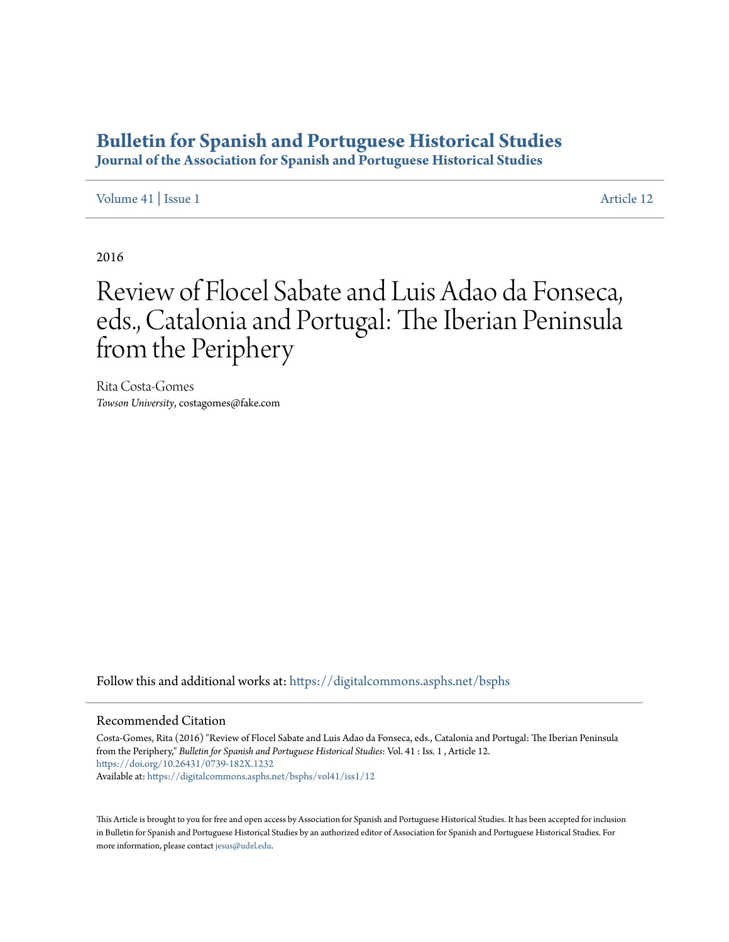## **[Bulletin for Spanish and Portuguese Historical Studies](https://digitalcommons.asphs.net/bsphs?utm_source=digitalcommons.asphs.net%2Fbsphs%2Fvol41%2Fiss1%2F12&utm_medium=PDF&utm_campaign=PDFCoverPages)**

**Journal of the Association for Spanish and Portuguese Historical Studies**

[Volume 41](https://digitalcommons.asphs.net/bsphs/vol41?utm_source=digitalcommons.asphs.net%2Fbsphs%2Fvol41%2Fiss1%2F12&utm_medium=PDF&utm_campaign=PDFCoverPages) | [Issue 1](https://digitalcommons.asphs.net/bsphs/vol41/iss1?utm_source=digitalcommons.asphs.net%2Fbsphs%2Fvol41%2Fiss1%2F12&utm_medium=PDF&utm_campaign=PDFCoverPages) [Article 12](https://digitalcommons.asphs.net/bsphs/vol41/iss1/12?utm_source=digitalcommons.asphs.net%2Fbsphs%2Fvol41%2Fiss1%2F12&utm_medium=PDF&utm_campaign=PDFCoverPages)

2016

## Review of Flocel Sabate and Luis Adao da Fonseca, eds., Catalonia and Portugal: The Iberian Peninsula from the Periphery

Rita Costa-Gomes *Towson University*, costagomes@fake.com

Follow this and additional works at: [https://digitalcommons.asphs.net/bsphs](https://digitalcommons.asphs.net/bsphs?utm_source=digitalcommons.asphs.net%2Fbsphs%2Fvol41%2Fiss1%2F12&utm_medium=PDF&utm_campaign=PDFCoverPages)

## Recommended Citation

Costa-Gomes, Rita (2016) "Review of Flocel Sabate and Luis Adao da Fonseca, eds., Catalonia and Portugal: The Iberian Peninsula from the Periphery," *Bulletin for Spanish and Portuguese Historical Studies*: Vol. 41 : Iss. 1 , Article 12. <https://doi.org/10.26431/0739-182X.1232> Available at: [https://digitalcommons.asphs.net/bsphs/vol41/iss1/12](https://digitalcommons.asphs.net/bsphs/vol41/iss1/12?utm_source=digitalcommons.asphs.net%2Fbsphs%2Fvol41%2Fiss1%2F12&utm_medium=PDF&utm_campaign=PDFCoverPages)

This Article is brought to you for free and open access by Association for Spanish and Portuguese Historical Studies. It has been accepted for inclusion in Bulletin for Spanish and Portuguese Historical Studies by an authorized editor of Association for Spanish and Portuguese Historical Studies. For more information, please contact [jesus@udel.edu](mailto:jesus@udel.edu).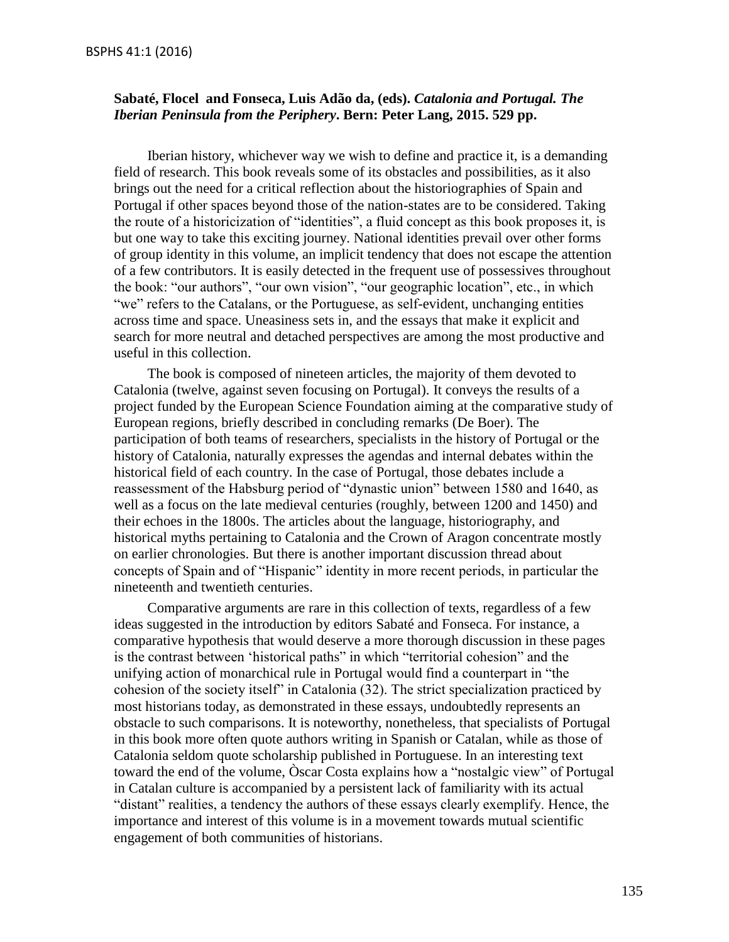## **Sabaté, Flocel and Fonseca, Luis Adão da, (eds).** *Catalonia and Portugal. The Iberian Peninsula from the Periphery***. Bern: Peter Lang, 2015. 529 pp.**

Iberian history, whichever way we wish to define and practice it, is a demanding field of research. This book reveals some of its obstacles and possibilities, as it also brings out the need for a critical reflection about the historiographies of Spain and Portugal if other spaces beyond those of the nation-states are to be considered. Taking the route of a historicization of "identities", a fluid concept as this book proposes it, is but one way to take this exciting journey. National identities prevail over other forms of group identity in this volume, an implicit tendency that does not escape the attention of a few contributors. It is easily detected in the frequent use of possessives throughout the book: "our authors", "our own vision", "our geographic location", etc., in which "we" refers to the Catalans, or the Portuguese, as self-evident, unchanging entities across time and space. Uneasiness sets in, and the essays that make it explicit and search for more neutral and detached perspectives are among the most productive and useful in this collection.

The book is composed of nineteen articles, the majority of them devoted to Catalonia (twelve, against seven focusing on Portugal). It conveys the results of a project funded by the European Science Foundation aiming at the comparative study of European regions, briefly described in concluding remarks (De Boer). The participation of both teams of researchers, specialists in the history of Portugal or the history of Catalonia, naturally expresses the agendas and internal debates within the historical field of each country. In the case of Portugal, those debates include a reassessment of the Habsburg period of "dynastic union" between 1580 and 1640, as well as a focus on the late medieval centuries (roughly, between 1200 and 1450) and their echoes in the 1800s. The articles about the language, historiography, and historical myths pertaining to Catalonia and the Crown of Aragon concentrate mostly on earlier chronologies. But there is another important discussion thread about concepts of Spain and of "Hispanic" identity in more recent periods, in particular the nineteenth and twentieth centuries.

Comparative arguments are rare in this collection of texts, regardless of a few ideas suggested in the introduction by editors Sabaté and Fonseca. For instance, a comparative hypothesis that would deserve a more thorough discussion in these pages is the contrast between 'historical paths" in which "territorial cohesion" and the unifying action of monarchical rule in Portugal would find a counterpart in "the cohesion of the society itself" in Catalonia (32). The strict specialization practiced by most historians today, as demonstrated in these essays, undoubtedly represents an obstacle to such comparisons. It is noteworthy, nonetheless, that specialists of Portugal in this book more often quote authors writing in Spanish or Catalan, while as those of Catalonia seldom quote scholarship published in Portuguese. In an interesting text toward the end of the volume, Òscar Costa explains how a "nostalgic view" of Portugal in Catalan culture is accompanied by a persistent lack of familiarity with its actual "distant" realities, a tendency the authors of these essays clearly exemplify. Hence, the importance and interest of this volume is in a movement towards mutual scientific engagement of both communities of historians.